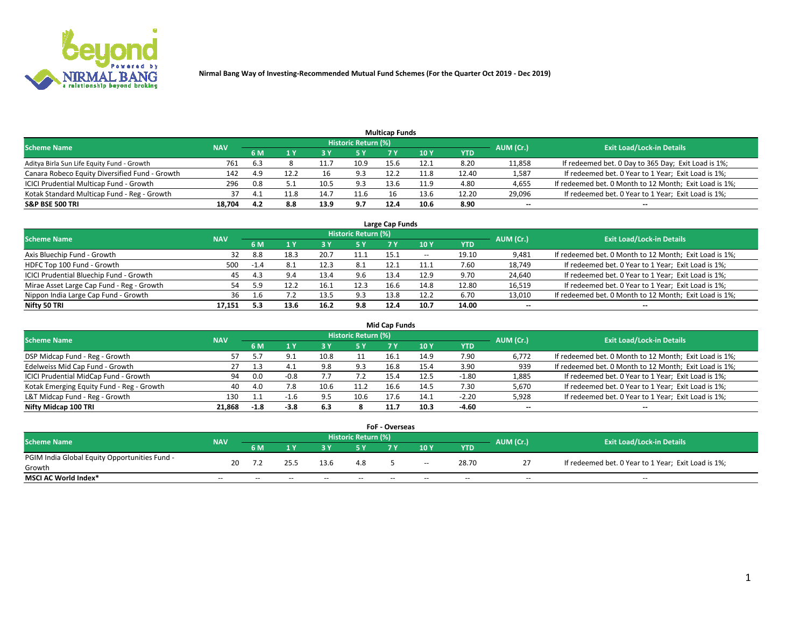

| <b>Multicap Funds</b>                          |            |      |       |      |                     |      |      |       |           |                                                        |  |  |  |  |
|------------------------------------------------|------------|------|-------|------|---------------------|------|------|-------|-----------|--------------------------------------------------------|--|--|--|--|
| <b>Scheme Name</b>                             | <b>NAV</b> |      |       |      | Historic Return (%) |      |      |       | AUM (Cr.) | <b>Exit Load/Lock-in Details</b>                       |  |  |  |  |
|                                                |            | 6 M  |       |      | <b>5 Y</b>          |      | 10Y  | YTD   |           |                                                        |  |  |  |  |
| Aditya Birla Sun Life Equity Fund - Growth     | 761        | -6.3 |       |      | 10.9                | 15.6 | 12.1 | 8.20  | 11,858    | If redeemed bet. 0 Day to 365 Day; Exit Load is 1%;    |  |  |  |  |
| Canara Robeco Equity Diversified Fund - Growth | 142        | 4.9  | 12.2  | 16   | 9.3                 | 12.2 |      | 12.40 | 1,587     | If redeemed bet. 0 Year to 1 Year; Exit Load is 1%;    |  |  |  |  |
| ICICI Prudential Multicap Fund - Growth        | 296        | 0.8  |       | 10.5 | 9.3                 | 13.6 | 11.9 | 4.80  | 4,655     | If redeemed bet. 0 Month to 12 Month; Exit Load is 1%; |  |  |  |  |
| Kotak Standard Multicap Fund - Reg - Growth    |            |      | . 1.8 | 14.7 | 11.6                |      | 13.6 | 12.20 | 29,096    | If redeemed bet. 0 Year to 1 Year; Exit Load is 1%;    |  |  |  |  |
| <b>S&amp;P BSE 500 TRI</b>                     | 18.704     | 4.2  | 8.8   | 13.9 | 9.7                 | 12.4 | 10.6 | 8.90  | $\sim$    | $\overline{\phantom{a}}$                               |  |  |  |  |

| Large Cap Funds                           |            |           |      |      |                            |      |                          |       |           |                                                        |  |  |  |  |
|-------------------------------------------|------------|-----------|------|------|----------------------------|------|--------------------------|-------|-----------|--------------------------------------------------------|--|--|--|--|
| <b>Scheme Name</b>                        | <b>NAV</b> |           |      |      | <b>Historic Return (%)</b> |      |                          |       | AUM (Cr.) | <b>Exit Load/Lock-in Details</b>                       |  |  |  |  |
|                                           |            | <b>6M</b> | 1 Y  |      | 5 Y                        | 7 Y  | 10Y                      | YTD   |           |                                                        |  |  |  |  |
| Axis Bluechip Fund - Growth               | 32         | 8.8       | 18.3 | 20.7 | 11.1                       | 15.1 | $\overline{\phantom{a}}$ | 19.10 | 9,481     | If redeemed bet. 0 Month to 12 Month; Exit Load is 1%; |  |  |  |  |
| HDFC Top 100 Fund - Growth                | 500        | $-1.4$    |      | 12.3 | 8.1                        | 12.1 | 11.1                     | 7.60  | 18,749    | If redeemed bet. 0 Year to 1 Year; Exit Load is 1%;    |  |  |  |  |
| ICICI Prudential Bluechip Fund - Growth   | 45         | -4.3      | 9.4  | 13.4 | 9.6                        | 13.4 | 12.9                     | 9.70  | 24,640    | If redeemed bet. 0 Year to 1 Year; Exit Load is 1%;    |  |  |  |  |
| Mirae Asset Large Cap Fund - Reg - Growth | 54         | 5.9       |      | 16.  | 12.3                       | 16.6 | 14.8                     | 12.80 | 16,519    | If redeemed bet. 0 Year to 1 Year; Exit Load is 1%;    |  |  |  |  |
| Nippon India Large Cap Fund - Growth      | 36         |           | 7.2  | 13.5 | 9.3                        | 13.8 | 12.2                     | 6.70  | 13,010    | If redeemed bet. 0 Month to 12 Month; Exit Load is 1%; |  |  |  |  |
| Nifty 50 TRI                              | 17.151     |           | 13.6 | 16.2 | 9.8                        | 12.4 | 10.7                     | 14.00 | $- -$     | $- -$                                                  |  |  |  |  |

| <b>Mid Cap Funds</b>                      |            |        |        |      |                            |      |      |         |           |                                                        |  |  |  |
|-------------------------------------------|------------|--------|--------|------|----------------------------|------|------|---------|-----------|--------------------------------------------------------|--|--|--|
| <b>Scheme Name</b>                        | <b>NAV</b> |        |        |      | <b>Historic Return (%)</b> |      |      |         | AUM (Cr.) | <b>Exit Load/Lock-in Details</b>                       |  |  |  |
|                                           |            | 6 M    | 1 Y    |      | <b>5 Y</b>                 |      | 10Y  | YTD     |           |                                                        |  |  |  |
| DSP Midcap Fund - Reg - Growth            | 57         |        |        | 10.8 |                            | 16.1 | 14.9 | 7.90    | 6,772     | If redeemed bet. 0 Month to 12 Month; Exit Load is 1%; |  |  |  |
| Edelweiss Mid Cap Fund - Growth           | 27         |        | 4.1    | 9.8  | 9.3                        | 16.8 | 15.4 | 3.90    | 939       | If redeemed bet. 0 Month to 12 Month; Exit Load is 1%; |  |  |  |
| ICICI Prudential MidCap Fund - Growth     | 94         | 0.0    | $-0.8$ |      |                            | 15.4 | 12.5 | $-1.80$ | 1,885     | If redeemed bet. 0 Year to 1 Year; Exit Load is 1%;    |  |  |  |
| Kotak Emerging Equity Fund - Reg - Growth | 40         | 4.0    | 7.8    |      | 11.2                       | 16.6 | 14.5 | 7.30    | 5,670     | If redeemed bet. 0 Year to 1 Year; Exit Load is 1%;    |  |  |  |
| L&T Midcap Fund - Reg - Growth            | 130        |        |        | 9.5  | 10.6                       | 17.6 | 14.1 | $-2.20$ | 5,928     | If redeemed bet. 0 Year to 1 Year; Exit Load is 1%;    |  |  |  |
| Nifty Midcap 100 TRI                      | 21.868     | $-1.8$ | $-3.8$ | 6.3  |                            |      | 10.3 | $-4.60$ | $\sim$    | $- -$                                                  |  |  |  |

| <b>FoF - Overseas</b>                         |            |                                                                      |       |       |       |     |        |            |       |                                                     |  |  |  |
|-----------------------------------------------|------------|----------------------------------------------------------------------|-------|-------|-------|-----|--------|------------|-------|-----------------------------------------------------|--|--|--|
| Scheme Name                                   | <b>NAV</b> | Historic Return (%)<br><b>Exit Load/Lock-in Details</b><br>AUM (Cr.) |       |       |       |     |        |            |       |                                                     |  |  |  |
|                                               |            | 6 M                                                                  |       |       |       |     | 10V    | <b>YTD</b> |       |                                                     |  |  |  |
| PGIM India Global Equity Opportunities Fund - | 20         |                                                                      | 25.5  | 13.6  | 4.8   |     |        | 28.70      |       | If redeemed bet. 0 Year to 1 Year; Exit Load is 1%; |  |  |  |
| Growth                                        |            |                                                                      |       |       |       |     | $\sim$ |            |       |                                                     |  |  |  |
| <b>MSCI AC World Index*</b>                   | $- -$      | $ -$                                                                 | $- -$ | $- -$ | $- -$ | $-$ | --     | $-$        | $- -$ | $- -$                                               |  |  |  |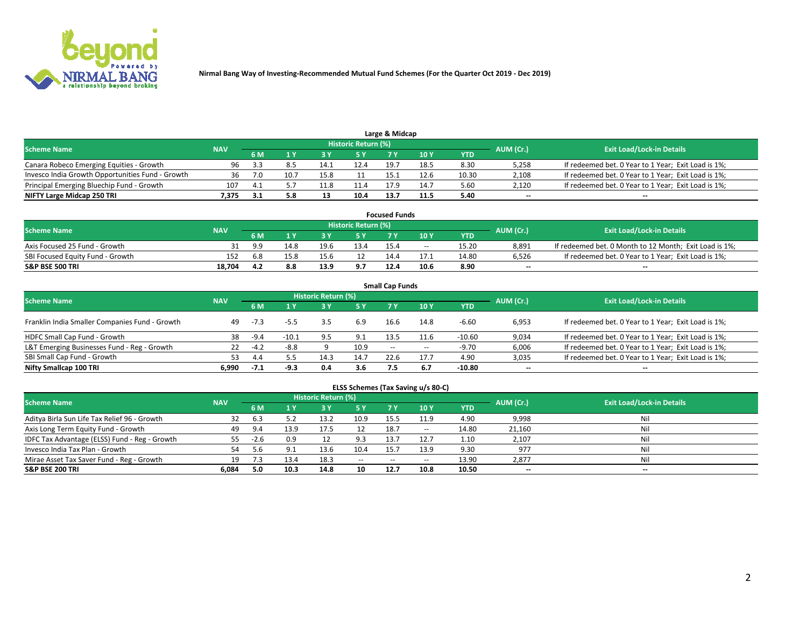

| Large & Midcap<br>Historic Return (%)            |            |      |      |      |      |      |      |       |           |                                                     |  |  |  |  |
|--------------------------------------------------|------------|------|------|------|------|------|------|-------|-----------|-----------------------------------------------------|--|--|--|--|
| <b>Scheme Name</b>                               | <b>NAV</b> |      |      |      |      |      |      |       | AUM (Cr.) | <b>Exit Load/Lock-in Details</b>                    |  |  |  |  |
|                                                  |            | 6 M  |      |      |      |      | 10 Y | YTD   |           |                                                     |  |  |  |  |
| Canara Robeco Emerging Equities - Growth         | 96         | -3.3 | 8.5  | 14.1 | 12.4 | 19.7 | 18.5 | 8.30  | 5,258     | If redeemed bet. 0 Year to 1 Year; Exit Load is 1%; |  |  |  |  |
| Invesco India Growth Opportunities Fund - Growth | 36         |      | 10.7 | 15.8 |      | 15.1 | 12.6 | 10.30 | 2,108     | If redeemed bet. 0 Year to 1 Year; Exit Load is 1%; |  |  |  |  |
| Principal Emerging Bluechip Fund - Growth        | 107        |      |      | 11.8 | 11.4 | 179  | 14.7 | 5.60  | 2,120     | If redeemed bet. 0 Year to 1 Year; Exit Load is 1%; |  |  |  |  |
| NIFTY Large Midcap 250 TRI                       | 7.375      |      | 5.8  |      | 10.4 | 13.7 | 11.5 | 5.40  | $\sim$    | $- -$                                               |  |  |  |  |

| <b>Focused Funds</b>             |            |     |      |      |                     |      |       |            |                          |                                                        |  |  |  |
|----------------------------------|------------|-----|------|------|---------------------|------|-------|------------|--------------------------|--------------------------------------------------------|--|--|--|
| <b>Scheme Name</b>               | <b>NAV</b> |     |      |      | Historic Return (%) |      |       |            |                          | <b>Exit Load/Lock-in Details</b>                       |  |  |  |
|                                  |            | 6 M |      |      |                     |      | 10 Y  | <b>YTD</b> | AUM (Cr.)                |                                                        |  |  |  |
| Axis Focused 25 Fund - Growth    |            | a a | 14.8 | 19.6 | 13.4                | 15.4 | $- -$ | 15.20      | 8.891                    | If redeemed bet. 0 Month to 12 Month; Exit Load is 1%; |  |  |  |
| SBI Focused Equity Fund - Growth | 152        | 6.8 |      | 15.6 |                     | 14.4 |       | 14.80      | 6.526                    | If redeemed bet. 0 Year to 1 Year: Exit Load is 1%:    |  |  |  |
| <b>S&amp;P BSE 500 TRI</b>       | 18.704     |     | 8.8  | 13.9 | 9.7                 | 12.4 | 10.6  | 8.90       | $\overline{\phantom{a}}$ | $\overline{\phantom{a}}$                               |  |  |  |

|                                                |            |        |         |                            |      | <b>Small Cap Funds</b>   |      |            |                          |                                                     |
|------------------------------------------------|------------|--------|---------|----------------------------|------|--------------------------|------|------------|--------------------------|-----------------------------------------------------|
| <b>Scheme Name</b>                             | <b>NAV</b> |        |         | <b>Historic Return (%)</b> |      |                          |      |            | AUM (Cr.)                | <b>Exit Load/Lock-in Details</b>                    |
|                                                |            | 6 M    |         |                            | 5 Y  | 7 Y                      | 10Y  | <b>YTD</b> |                          |                                                     |
| Franklin India Smaller Companies Fund - Growth | 49         | $-7.3$ |         | 3.5                        | 6.9  | 16.6                     | 14.8 | -6.60      | 6,953                    | If redeemed bet. 0 Year to 1 Year; Exit Load is 1%; |
| HDFC Small Cap Fund - Growth                   | 38         | -9.4   | $-10.1$ | 9.5                        | 9.1  | 13.5                     | 11.6 | $-10.60$   | 9,034                    | If redeemed bet. 0 Year to 1 Year; Exit Load is 1%; |
| L&T Emerging Businesses Fund - Reg - Growth    | 22         | $-4.2$ | $-8.8$  |                            | 10.9 | $\overline{\phantom{a}}$ | $-$  | $-9.70$    | 6,006                    | If redeemed bet. 0 Year to 1 Year; Exit Load is 1%; |
| SBI Small Cap Fund - Growth                    | 53         | 4.4    | 5.5     | 14.3                       | 14.7 | 22.6                     | 17.7 | 4.90       | 3,035                    | If redeemed bet. 0 Year to 1 Year; Exit Load is 1%; |
| Nifty Smallcap 100 TRI                         | 6.990      | $-7.1$ | -9.3    | 0.4                        | 3.6  | 7.5                      | 6.7  | -10.80     | $\overline{\phantom{a}}$ | $- -$                                               |

## **ELSS Schemes (Tax Saving u/s 80-C)**

| <b>Scheme Name</b>                            | <b>NAV</b> |        |      | <b>Historic Return (%)</b> |           |      |       |       | AUM (Cr.) | <b>Exit Load/Lock-in Details</b> |
|-----------------------------------------------|------------|--------|------|----------------------------|-----------|------|-------|-------|-----------|----------------------------------|
|                                               |            | 6 M    | 1 Y  |                            | <b>5Y</b> | 7 Y  | 10Y   | YTD   |           |                                  |
| Aditya Birla Sun Life Tax Relief 96 - Growth  | 32         | b.3    |      | 13.2                       | 10.9      | 15.5 | 11.9  | 4.90  | 9,998     | Nil                              |
| Axis Long Term Equity Fund - Growth           | 49         | 9.4    | 13.9 | 17.5                       | 12        | 18.7 | $- -$ | 14.80 | 21,160    | Nil                              |
| IDFC Tax Advantage (ELSS) Fund - Reg - Growth | 55         | $-2.6$ | 0.9  |                            | 9.3       | 13.7 | 12.7  | 1.10  | 2,107     | Nil                              |
| Invesco India Tax Plan - Growth               | 54         | 5.6    |      | 13.6                       | 10.4      | 15.7 | 13.9  | 9.30  | 977       | Nil                              |
| Mirae Asset Tax Saver Fund - Reg - Growth     | 19         |        | 13.4 | 18.3                       | $- -$     | --   | --    | 13.90 | 2,877     | Nil                              |
| S&P BSE 200 TRI                               | 6,084      | 5.0    | 10.3 | 14.8                       | 10        | 12.7 | 10.8  | 10.50 | $\sim$    | $- -$                            |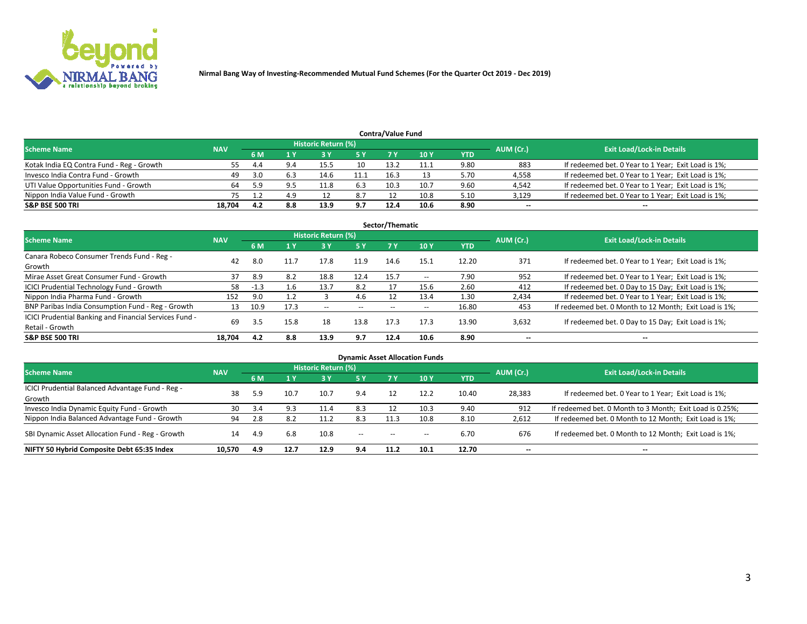

| <b>Contra/Value Fund</b>                                                                                        |        |      |     |      |     |      |      |      |        |                                                     |  |  |  |  |
|-----------------------------------------------------------------------------------------------------------------|--------|------|-----|------|-----|------|------|------|--------|-----------------------------------------------------|--|--|--|--|
| <b>Historic Return (%)</b><br><b>Exit Load/Lock-in Details</b><br>AUM (Cr.)<br><b>Scheme Name</b><br><b>NAV</b> |        |      |     |      |     |      |      |      |        |                                                     |  |  |  |  |
|                                                                                                                 |        | 6 M  |     |      | 5 Y | 7 V  | 10Y  | YTD  |        |                                                     |  |  |  |  |
| Kotak India EQ Contra Fund - Reg - Growth                                                                       | 55.    | 4.4  | 9.4 | 15.5 | 10  | 13.2 | 11.1 | 9.80 | 883    | If redeemed bet. 0 Year to 1 Year; Exit Load is 1%; |  |  |  |  |
| Invesco India Contra Fund - Growth                                                                              | 49     |      |     | 14.6 |     | 16.3 |      | 5.70 | 4,558  | If redeemed bet. 0 Year to 1 Year; Exit Load is 1%; |  |  |  |  |
| UTI Value Opportunities Fund - Growth                                                                           |        | 5.9  |     |      | 6.3 | 10.3 | 10.7 | 9.60 | 4,542  | If redeemed bet. 0 Year to 1 Year; Exit Load is 1%; |  |  |  |  |
| Nippon India Value Fund - Growth                                                                                |        |      | 4.9 |      | 8.7 |      | 10.8 | 5.10 | 3,129  | If redeemed bet. 0 Year to 1 Year; Exit Load is 1%; |  |  |  |  |
| <b>S&amp;P BSE 500 TRI</b>                                                                                      | 18.704 | -4.2 | 8.8 | 13.9 | 9.7 | 12.4 | 10.6 | 8.90 | $\sim$ | $- -$                                               |  |  |  |  |

| Sector/Thematic                                                           |            |        |      |                     |           |       |                          |            |                          |                                                        |  |  |  |
|---------------------------------------------------------------------------|------------|--------|------|---------------------|-----------|-------|--------------------------|------------|--------------------------|--------------------------------------------------------|--|--|--|
| <b>Scheme Name</b>                                                        | <b>NAV</b> |        |      | Historic Return (%) |           |       |                          |            | AUM (Cr.)                | <b>Exit Load/Lock-in Details</b>                       |  |  |  |
|                                                                           |            | 6 M    | 1 Y  | 73 Y                | <b>5Y</b> | 7 Y   | 10Y                      | <b>YTD</b> |                          |                                                        |  |  |  |
| Canara Robeco Consumer Trends Fund - Reg -<br>Growth                      | 42         | 8.0    | 11.7 | 17.8                | 11.9      | 14.6  | 15.1                     | 12.20      | 371                      | If redeemed bet. 0 Year to 1 Year; Exit Load is 1%;    |  |  |  |
| Mirae Asset Great Consumer Fund - Growth                                  | 37         | 8.9    | 8.2  | 18.8                | 12.4      | 15.7  | $\overline{\phantom{a}}$ | 7.90       | 952                      | If redeemed bet. 0 Year to 1 Year; Exit Load is 1%;    |  |  |  |
| ICICI Prudential Technology Fund - Growth                                 | 58         | $-1.3$ | 1.6  | 13.7                | 8.2       |       | 15.6                     | 2.60       | 412                      | If redeemed bet. 0 Day to 15 Day; Exit Load is 1%;     |  |  |  |
| Nippon India Pharma Fund - Growth                                         | 152        | 9.0    |      |                     | 4.6       |       | 13.4                     | 1.30       | 2,434                    | If redeemed bet. 0 Year to 1 Year; Exit Load is 1%;    |  |  |  |
| BNP Paribas India Consumption Fund - Reg - Growth                         | 13         | 10.9   | 17.3 | $- -$               | $- -$     | $- -$ | $- -$                    | 16.80      | 453                      | If redeemed bet. 0 Month to 12 Month; Exit Load is 1%; |  |  |  |
| ICICI Prudential Banking and Financial Services Fund -<br>Retail - Growth | 69         | 3.5    | 15.8 | 18                  | 13.8      | 17.3  | 17.3                     | 13.90      | 3,632                    | If redeemed bet. 0 Day to 15 Day; Exit Load is 1%;     |  |  |  |
| <b>S&amp;P BSE 500 TRI</b>                                                | 18.704     | 4.2    | 8.8  | 13.9                | 9.7       | 12.4  | 10.6                     | 8.90       | $\overline{\phantom{a}}$ | $\overline{\phantom{a}}$                               |  |  |  |

| <b>Dynamic Asset Allocation Funds</b>                      |            |     |      |                     |        |        |                 |            |                          |                                                          |  |  |  |  |
|------------------------------------------------------------|------------|-----|------|---------------------|--------|--------|-----------------|------------|--------------------------|----------------------------------------------------------|--|--|--|--|
| Scheme Name                                                | <b>NAV</b> |     |      | Historic Return (%) |        |        |                 |            | AUM (Cr.)                | <b>Exit Load/Lock-in Details</b>                         |  |  |  |  |
|                                                            |            | 6 M |      | 3Y                  | 5 Y    |        | 10 <sub>Y</sub> | <b>YTD</b> |                          |                                                          |  |  |  |  |
| ICICI Prudential Balanced Advantage Fund - Reg -<br>Growth | 38         | 5.9 | 10.7 | 10.7                | 9.4    |        | 12.2            | 10.40      | 28,383                   | If redeemed bet. 0 Year to 1 Year; Exit Load is 1%;      |  |  |  |  |
| Invesco India Dynamic Equity Fund - Growth                 | 30         | 3.4 | 9.3  | 11.4                | 8.3    | 12     | 10.3            | 9.40       | 912                      | If redeemed bet. 0 Month to 3 Month; Exit Load is 0.25%; |  |  |  |  |
| Nippon India Balanced Advantage Fund - Growth              | 94         | 2.8 | 8.2  | 11.2                | 8.3    | 11.3   | 10.8            | 8.10       | 2,612                    | If redeemed bet. 0 Month to 12 Month; Exit Load is 1%;   |  |  |  |  |
| SBI Dynamic Asset Allocation Fund - Reg - Growth           | 14         | 4.9 | 6.8  | 10.8                | $\sim$ | $\sim$ | $\sim$          | 6.70       | 676                      | If redeemed bet. 0 Month to 12 Month; Exit Load is 1%;   |  |  |  |  |
| NIFTY 50 Hybrid Composite Debt 65:35 Index                 | 10.570     | 4.9 | 12.7 | 12.9                | 9.4    | 11.2   | 10.1            | 12.70      | $\overline{\phantom{a}}$ | --                                                       |  |  |  |  |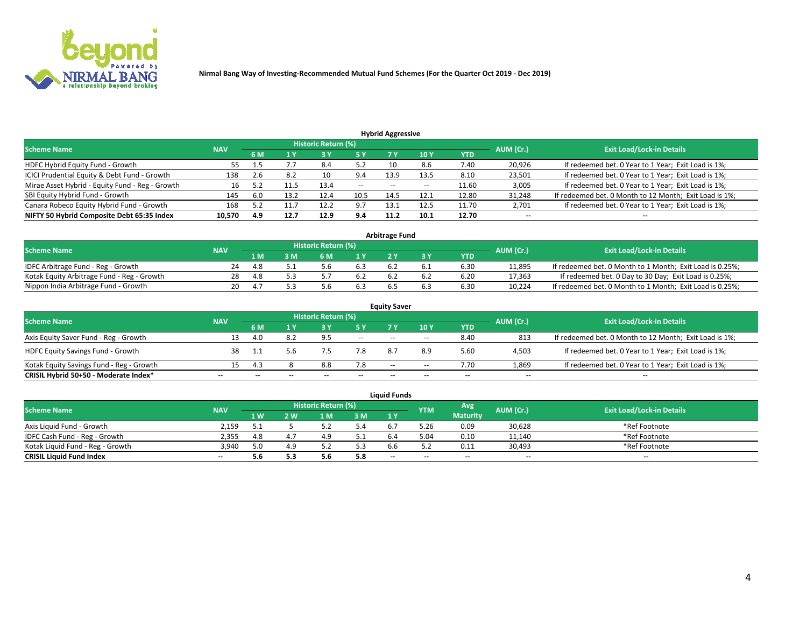

**Nirmal Bang Way of Investing-Recommended Mutual Fund Schemes (For the Quarter Oct 2019 - Dec 2019)**

|                                                 |            |      |              |                            |        | <b>Hybrid Aggressive</b> |                 |       |           |                                                        |
|-------------------------------------------------|------------|------|--------------|----------------------------|--------|--------------------------|-----------------|-------|-----------|--------------------------------------------------------|
| <b>Scheme Name</b>                              | <b>NAV</b> |      |              | <b>Historic Return (%)</b> |        |                          |                 |       | AUM (Cr.) | <b>Exit Load/Lock-in Details</b>                       |
|                                                 |            | 6 M  | $\sqrt{1}$ Y |                            | '5 Y.  |                          | 10 <sub>1</sub> | YTD   |           |                                                        |
| HDFC Hybrid Equity Fund - Growth                | 55         | 1.5  |              | 8.4                        | 5.2    |                          | 8.6             | 7.40  | 20,926    | If redeemed bet. 0 Year to 1 Year; Exit Load is 1%;    |
| ICICI Prudential Equity & Debt Fund - Growth    | 138        | 2.6  | 8.2          | 10                         | 9.4    | 13.9                     | 13.5            | 8.10  | 23,501    | If redeemed bet. 0 Year to 1 Year; Exit Load is 1%;    |
| Mirae Asset Hybrid - Equity Fund - Reg - Growth | 16         |      |              | 13.4                       | $\sim$ | $- -$                    | $- -$           | 11.60 | 3,005     | If redeemed bet. 0 Year to 1 Year; Exit Load is 1%;    |
| SBI Equity Hybrid Fund - Growth                 | 145        | -6.0 | 13.2         | 12.4                       | 10.5   | 14.5                     | 12.1            | 12.80 | 31,248    | If redeemed bet. 0 Month to 12 Month; Exit Load is 1%; |
| Canara Robeco Equity Hybrid Fund - Growth       | 168        |      |              | 12.2                       | 9.7    | 13.1                     | 12.5            | 11.70 | 2,701     | If redeemed bet. 0 Year to 1 Year; Exit Load is 1%;    |
| NIFTY 50 Hybrid Composite Debt 65:35 Index      | 10,570     | 4.9  | 12.7         | 12.9                       | 9.4    | 11.2                     | 10.1            | 12.70 | $\sim$    | $\sim$                                                 |

| <b>Arbitrage Fund</b>                      |            |      |     |                     |     |  |  |            |           |                                                          |  |  |  |  |
|--------------------------------------------|------------|------|-----|---------------------|-----|--|--|------------|-----------|----------------------------------------------------------|--|--|--|--|
| Scheme Name                                | <b>NAV</b> |      |     | Historic Return (%) |     |  |  |            | AUM (Cr.) | <b>Exit Load/Lock-in Details</b>                         |  |  |  |  |
|                                            |            | 1 M  | : M | 6 M                 | 1 V |  |  | <b>YTD</b> |           |                                                          |  |  |  |  |
| IDFC Arbitrage Fund - Reg - Growth         | 24         | -4.8 |     |                     |     |  |  | 6.30       | 11.895    | If redeemed bet. 0 Month to 1 Month; Exit Load is 0.25%; |  |  |  |  |
| Kotak Equity Arbitrage Fund - Reg - Growth | 28         | 4.8  |     |                     | b.2 |  |  | 6.20       | 17,363    | If redeemed bet. 0 Day to 30 Day; Exit Load is 0.25%;    |  |  |  |  |
| Nippon India Arbitrage Fund - Growth       | 20         |      |     |                     |     |  |  | 6.30       | 10.224    | If redeemed bet. 0 Month to 1 Month; Exit Load is 0.25%; |  |  |  |  |

| <b>Equity Saver</b>                      |            |     |     |                     |                          |        |       |       |                          |                                                        |  |  |  |
|------------------------------------------|------------|-----|-----|---------------------|--------------------------|--------|-------|-------|--------------------------|--------------------------------------------------------|--|--|--|
| <b>Scheme Name</b>                       | <b>NAV</b> |     |     | Historic Return (%) |                          |        |       |       | AUM (Cr.)                | <b>Exit Load/Lock-in Details</b>                       |  |  |  |
|                                          |            | 6 M |     |                     | 5 Y                      |        | 10Y   | YTD   |                          |                                                        |  |  |  |
| Axis Equity Saver Fund - Reg - Growth    | 13         | 4.0 | 8.2 | 9.5                 | $\sim$                   | $\sim$ | $- -$ | 8.40  | 813                      | If redeemed bet. 0 Month to 12 Month; Exit Load is 1%; |  |  |  |
| <b>HDFC Equity Savings Fund - Growth</b> | 38         |     | 5.b |                     | 7.8                      | 8.7    | 8.9   | 5.60  | 4,503                    | If redeemed bet. 0 Year to 1 Year; Exit Load is 1%;    |  |  |  |
| Kotak Equity Savings Fund - Reg - Growth |            |     |     | 8.8                 | 7.8                      | $\sim$ | $- -$ | 7.70  | 1,869                    | If redeemed bet. 0 Year to 1 Year; Exit Load is 1%;    |  |  |  |
| CRISIL Hybrid 50+50 - Moderate Index*    | $- -$      |     | --  |                     | $\overline{\phantom{a}}$ | --     | --    | $- -$ | $\overline{\phantom{a}}$ | $- -$                                                  |  |  |  |

|                                  |            |                   |     |                     |     | <b>Liquid Funds</b> |            |                 |           |                                  |
|----------------------------------|------------|-------------------|-----|---------------------|-----|---------------------|------------|-----------------|-----------|----------------------------------|
| <b>Scheme Name</b>               | <b>NAV</b> |                   |     | Historic Return (%) |     |                     | <b>YTM</b> | <b>Avg</b>      | AUM (Cr.) | <b>Exit Load/Lock-in Details</b> |
|                                  |            | $4 \, \mathrm{W}$ | ' W | -M                  | 3 M | 1 <sub>Y</sub>      |            | <b>Maturity</b> |           |                                  |
| Axis Liquid Fund - Growth        | 2.159      |                   |     |                     | 5.4 |                     | 3.26       | 0.09            | 30,628    | *Ref Footnote                    |
| IDFC Cash Fund - Reg - Growth    | 2.355      | 4.8               |     | 4.9                 |     |                     | 04.د       | 0.10            | 11,140    | *Ref Footnote                    |
| Kotak Liguid Fund - Reg - Growth | 3.940      | 5.0               | 4 Q |                     | 5.3 |                     |            | 0.11            | 30,493    | *Ref Footnote                    |
| <b>CRISIL Liquid Fund Index</b>  | $\sim$     | 5.6               | 5.3 | 5.6                 | 5.8 | $\sim$              | $\sim$     | $\sim$          | $- -$     | $- -$                            |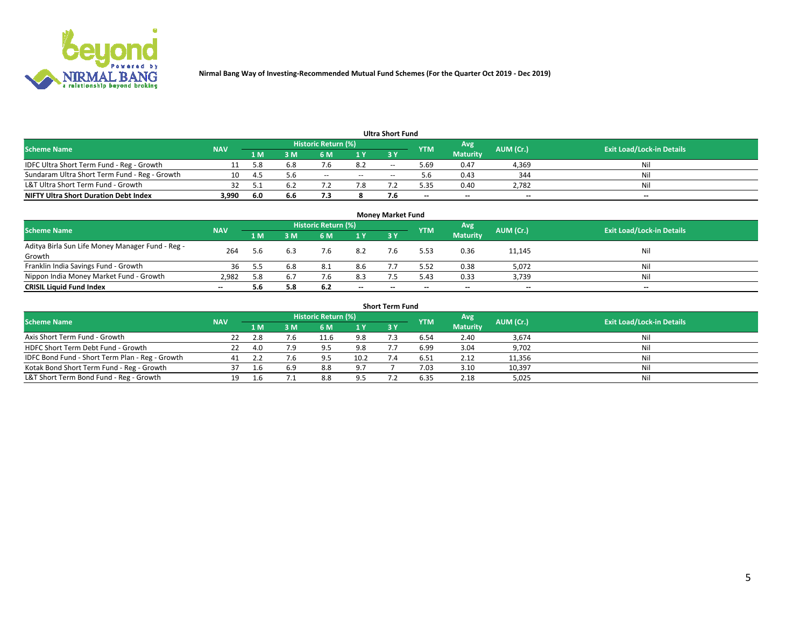

**Nirmal Bang Way of Investing-Recommended Mutual Fund Schemes (For the Quarter Oct 2019 - Dec 2019)**

| <b>Ultra Short Fund</b>                       |            |      |     |                     |     |       |            |                 |           |                                  |  |  |  |  |
|-----------------------------------------------|------------|------|-----|---------------------|-----|-------|------------|-----------------|-----------|----------------------------------|--|--|--|--|
| <b>Scheme Name</b>                            | <b>NAV</b> |      |     | Historic Return (%) |     |       | <b>YTM</b> | Avg             | AUM (Cr.) | <b>Exit Load/Lock-in Details</b> |  |  |  |  |
|                                               |            | 1 M  | I M | 6 M                 | 1 Y | 2V    |            | <b>Maturity</b> |           |                                  |  |  |  |  |
| IDFC Ultra Short Term Fund - Reg - Growth     |            | 5.8  | 6.8 |                     | 8.2 | $ -$  | 5.69       | 0.47            | 4,369     | Nil                              |  |  |  |  |
| Sundaram Ultra Short Term Fund - Reg - Growth |            | -4.  | 5.6 | $- -$               | $-$ | $- -$ | b          | 0.43            | 344       | Nil                              |  |  |  |  |
| L&T Ultra Short Term Fund - Growth            | 32         |      | 6.2 |                     |     |       | 5.35       | 0.40            | 2.782     | Nil                              |  |  |  |  |
| <b>NIFTY Ultra Short Duration Debt Index</b>  | 3,990      | -6.0 | 6.6 | , , ,               |     |       | $\sim$     | $-$             | $- -$     | $\overline{\phantom{a}}$         |  |  |  |  |

| <b>Money Market Fund</b>                         |            |     |     |                     |        |    |            |                 |           |                                  |  |  |  |
|--------------------------------------------------|------------|-----|-----|---------------------|--------|----|------------|-----------------|-----------|----------------------------------|--|--|--|
| <b>Scheme Name</b>                               | <b>NAV</b> |     |     | Historic Return (%) |        |    | <b>YTM</b> | 'Avg            | AUM (Cr.) | <b>Exit Load/Lock-in Details</b> |  |  |  |
|                                                  |            | 1 M | 3 M | 6 M                 | 1 Y    | 3Y |            | <b>Maturity</b> |           |                                  |  |  |  |
| Aditya Birla Sun Life Money Manager Fund - Reg - | 264        | 5.6 |     | 7.6                 | 8.2    |    | 5.53       | 0.36            | 11,145    | Nil                              |  |  |  |
| Growth<br>Franklin India Savings Fund - Growth   | 36         |     | 6.8 | 8.1                 | 8.6    |    | 5.52       | 0.38            | 5,072     | Nil                              |  |  |  |
| Nippon India Money Market Fund - Growth          | 2.982      | 5.8 |     | 7.6                 | 8.3    |    | 5.43       | 0.33            | 3,739     | Nil                              |  |  |  |
| <b>CRISIL Liquid Fund Index</b>                  | $- -$      | 5.6 | 5.8 | 6.2                 | $\sim$ | -- | --         | $\sim$          | $\sim$    | $\sim$                           |  |  |  |

| <b>Short Term Fund</b>                          |            |      |     |                     |      |           |            |                 |           |                                  |  |  |  |  |
|-------------------------------------------------|------------|------|-----|---------------------|------|-----------|------------|-----------------|-----------|----------------------------------|--|--|--|--|
| <b>Scheme Name</b>                              | <b>NAV</b> |      |     | Historic Return (%) |      |           | <b>YTM</b> | Avg             | AUM (Cr.) | <b>Exit Load/Lock-in Details</b> |  |  |  |  |
|                                                 |            | 1 M  | 3 M | 6 M                 | 1Y   | <b>3Y</b> |            | <b>Maturity</b> |           |                                  |  |  |  |  |
| Axis Short Term Fund - Growth                   |            |      | 7.6 | 11.6                | 9.8  |           | 6.54       | 2.40            | 3,674     | Nil                              |  |  |  |  |
| HDFC Short Term Debt Fund - Growth              | 22         | -4.0 | 7.9 | ۵,                  | 9.8  |           | 6.99       | 3.04            | 9,702     | Nil                              |  |  |  |  |
| IDFC Bond Fund - Short Term Plan - Reg - Growth |            |      | 7.6 | 9.5                 | 10.2 |           | 6.51       | 2.12            | 11,356    | Nil                              |  |  |  |  |
| Kotak Bond Short Term Fund - Reg - Growth       |            |      | 6.9 | 8.8                 | 9.7  |           | 7.03       | 3.10            | 10,397    | Nil                              |  |  |  |  |
| L&T Short Term Bond Fund - Reg - Growth         |            |      |     | 8.8                 | 9.5  |           | 6.35       | 2.18            | 5,025     | Nil                              |  |  |  |  |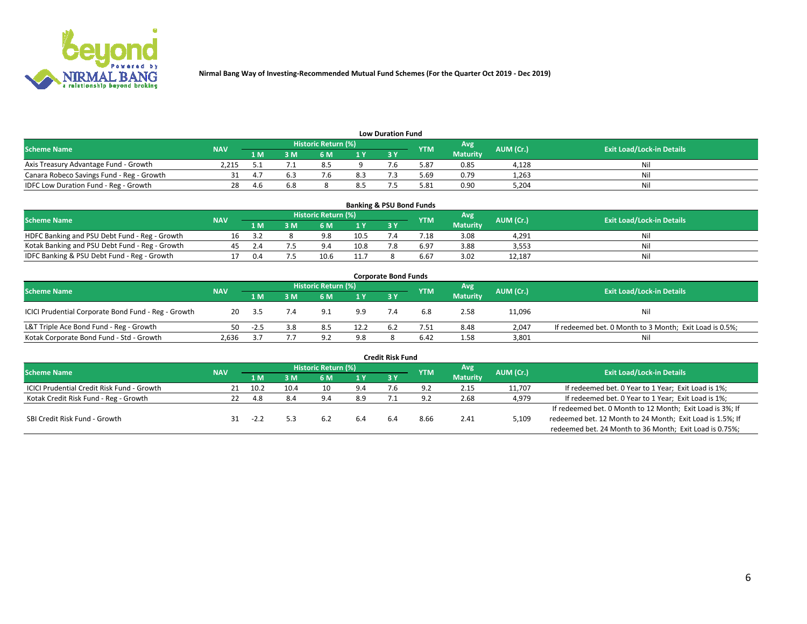

| <b>Low Duration Fund</b>                  |            |      |     |                     |                |     |            |                 |           |                                  |  |  |  |  |
|-------------------------------------------|------------|------|-----|---------------------|----------------|-----|------------|-----------------|-----------|----------------------------------|--|--|--|--|
| <b>Scheme Name</b>                        | <b>NAV</b> |      |     | Historic Return (%) |                |     | <b>YTM</b> | Avg             | AUM (Cr.) | <b>Exit Load/Lock-in Details</b> |  |  |  |  |
|                                           |            | 1 M  | ያ M | 6 M                 | 1 <sub>V</sub> | 3 Y |            | <b>Maturity</b> |           |                                  |  |  |  |  |
| Axis Treasury Advantage Fund - Growth     | 2.215      |      |     |                     |                |     | 5.87       | 0.85            | 4.128     | Nil                              |  |  |  |  |
| Canara Robeco Savings Fund - Reg - Growth |            |      |     |                     | 8.3            |     | 69.د       | 0.79            | 1,263     | Nil                              |  |  |  |  |
| IDFC Low Duration Fund - Reg - Growth     | 28         | -4.6 | 6.8 |                     | 8.5            |     | 5.81       | 0.90            | 5,204     | Nil                              |  |  |  |  |

| <b>Banking &amp; PSU Bond Funds</b>            |            |     |     |                            |      |    |                 |                 |           |                                  |  |  |  |  |
|------------------------------------------------|------------|-----|-----|----------------------------|------|----|-----------------|-----------------|-----------|----------------------------------|--|--|--|--|
| <b>Scheme Name</b>                             | <b>NAV</b> |     |     | <b>Historic Return (%)</b> |      |    | <b>YTM</b>      | Avg             | AUM (Cr.) | <b>Exit Load/Lock-in Details</b> |  |  |  |  |
|                                                |            | 1 M | 8 M | 6 M                        |      | 3Y |                 | <b>Maturity</b> |           |                                  |  |  |  |  |
| HDFC Banking and PSU Debt Fund - Reg - Growth  | Ίh         |     |     | 9.8                        | 10.5 |    | $^{\prime}$ .18 | 3.08            | 4.291     | Ni                               |  |  |  |  |
| Kotak Banking and PSU Debt Fund - Reg - Growth |            |     |     | 94                         | 10.8 |    | 6.97            | 3.88            | 3,553     | Ni                               |  |  |  |  |
| IDFC Banking & PSU Debt Fund - Reg - Growth    |            | 0.4 |     | 10.6                       | 11.7 |    | 6.67            | 3.02            | 12.187    | Ni                               |  |  |  |  |

| <b>Corporate Bond Funds</b>                         |            |        |     |                     |      |     |            |                  |           |                                                         |  |  |  |  |
|-----------------------------------------------------|------------|--------|-----|---------------------|------|-----|------------|------------------|-----------|---------------------------------------------------------|--|--|--|--|
| <b>Scheme Name</b>                                  | <b>NAV</b> |        |     | Historic Return (%) |      |     | <b>YTM</b> | Avg <sup>1</sup> | AUM (Cr.) | <b>Exit Load/Lock-in Details</b>                        |  |  |  |  |
|                                                     |            | 1 M    | : M | 6 M                 | 1 Y  | 3 Y |            | <b>Maturity</b>  |           |                                                         |  |  |  |  |
| ICICI Prudential Corporate Bond Fund - Reg - Growth | 20         | 3.5    | 7.4 | 9.1                 | 9.9  |     | 6.8        | 2.58             | 11,096    | Nil                                                     |  |  |  |  |
| L&T Triple Ace Bond Fund - Reg - Growth             |            | $-2.5$ | 3.8 | 8.5                 | 12.2 |     | 7.51       | 8.48             | 2,047     | If redeemed bet. 0 Month to 3 Month; Exit Load is 0.5%; |  |  |  |  |
| Kotak Corporate Bond Fund - Std - Growth            | 2.636      |        |     | $\circ$             | 9.8  |     | 6.42       | 1.58             | 3,801     | Nil                                                     |  |  |  |  |

| <b>Credit Risk Fund</b>                           |            |        |      |                            |     |    |            |                 |           |                                                           |  |  |  |
|---------------------------------------------------|------------|--------|------|----------------------------|-----|----|------------|-----------------|-----------|-----------------------------------------------------------|--|--|--|
| <b>Scheme Name</b>                                | <b>NAV</b> |        |      | <b>Historic Return (%)</b> |     |    | <b>YTM</b> | 'Avg            | AUM (Cr.) | <b>Exit Load/Lock-in Details</b>                          |  |  |  |
|                                                   |            | 1 M    | 3 M  | 6 M                        | 1 Y | 3Y |            | <b>Maturity</b> |           |                                                           |  |  |  |
| <b>ICICI Prudential Credit Risk Fund - Growth</b> |            | 10.2   | 10.4 | 10                         | 9.4 |    | 9.2        | 2.15            | 11,707    | If redeemed bet. 0 Year to 1 Year; Exit Load is 1%;       |  |  |  |
| Kotak Credit Risk Fund - Reg - Growth             |            | 4.8    | 8.4  | $Q \triangle$              | 8.9 |    |            | 2.68            | 4,979     | If redeemed bet. 0 Year to 1 Year; Exit Load is 1%;       |  |  |  |
|                                                   |            |        |      |                            |     |    |            |                 |           | If redeemed bet. 0 Month to 12 Month; Exit Load is 3%; If |  |  |  |
| SBI Credit Risk Fund - Growth                     |            | $-2.2$ |      | 6.2                        |     |    | 8.66       | 2.41            | 5,109     | redeemed bet. 12 Month to 24 Month; Exit Load is 1.5%; If |  |  |  |
|                                                   |            |        |      |                            |     |    |            |                 |           | redeemed bet. 24 Month to 36 Month; Exit Load is 0.75%;   |  |  |  |